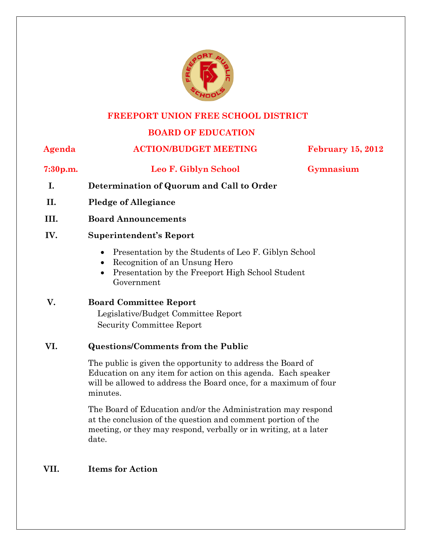

#### **FREEPORT UNION FREE SCHOOL DISTRICT**

# **BOARD OF EDUCATION**

# **Agenda ACTION/BUDGET MEETING February 15, 2012**

**7:30p.m. Leo F. Giblyn School Gymnasium** 

- **I. Determination of Quorum and Call to Order**
- **II. Pledge of Allegiance**
- **III. Board Announcements**

# **IV. Superintendent's Report**

- Presentation by the Students of Leo F. Giblyn School
- Recognition of an Unsung Hero
- Presentation by the Freeport High School Student Government

# **V. Board Committee Report**

 Legislative/Budget Committee Report Security Committee Report

# **VI. Questions/Comments from the Public**

The public is given the opportunity to address the Board of Education on any item for action on this agenda. Each speaker will be allowed to address the Board once, for a maximum of four minutes.

The Board of Education and/or the Administration may respond at the conclusion of the question and comment portion of the meeting, or they may respond, verbally or in writing, at a later date.

# **VII. Items for Action**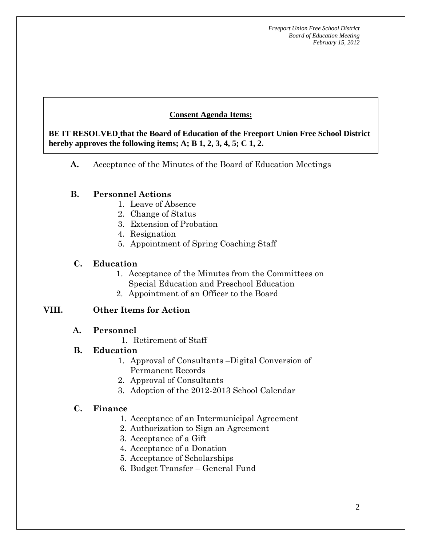# **Consent Agenda Items:**

 *Acceptance of the Minutes*  $\mathbf{A}$ hereby approves the following items; A; B  $1, 2, 3, 4, 5$ ; C  $1, 2$ . **BE IT RESOLVED that the Board of Education of the Freeport Union Free School District** 

**A.** Acceptance of the Minutes of the Board of Education Meetings

#### **B. Personnel Actions**

 **AA. Consent - Approve** 

- 1. Leave of Absence
- 2. Change of Status
- 3. Extension of Probation
- 4. Resignation
- 5. Appointment of Spring Coaching Staff

#### **C. Education**

- 1. Acceptance of the Minutes from the Committees on Special Education and Preschool Education
- 2. Appointment of an Officer to the Board

# **VIII. Other Items for Action**

- **A. Personnel** 
	- 1. Retirement of Staff

# **B. Education**

- 1. Approval of Consultants –Digital Conversion of Permanent Records
- 2. Approval of Consultants
- 3. Adoption of the 2012-2013 School Calendar

# **C. Finance**

- 1. Acceptance of an Intermunicipal Agreement
- 2. Authorization to Sign an Agreement
- 3. Acceptance of a Gift
- 4. Acceptance of a Donation
- 5. Acceptance of Scholarships
- 6. Budget Transfer General Fund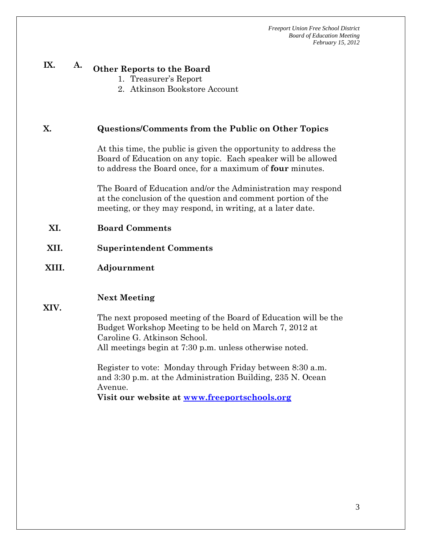# **IX. A. Other Reports to the Board**

- 1. Treasurer's Report
- 2. Atkinson Bookstore Account

#### **X. Questions/Comments from the Public on Other Topics**

At this time, the public is given the opportunity to address the Board of Education on any topic. Each speaker will be allowed to address the Board once, for a maximum of **four** minutes.

The Board of Education and/or the Administration may respond at the conclusion of the question and comment portion of the meeting, or they may respond, in writing, at a later date.

- **XI. Board Comments**
- **XII. Superintendent Comments**
- **XIII. Adjournment**

#### **Next Meeting**

**XIV.** 

The next proposed meeting of the Board of Education will be the Budget Workshop Meeting to be held on March 7, 2012 at Caroline G. Atkinson School. All meetings begin at 7:30 p.m. unless otherwise noted.

Register to vote: Monday through Friday between 8:30 a.m. and 3:30 p.m. at the Administration Building, 235 N. Ocean Avenue.

**Visit our website at www.freeportschools.org**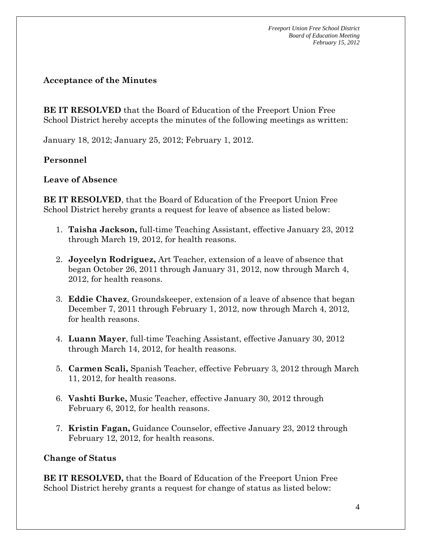#### **Acceptance of the Minutes**

**BE IT RESOLVED** that the Board of Education of the Freeport Union Free School District hereby accepts the minutes of the following meetings as written:

January 18, 2012; January 25, 2012; February 1, 2012.

# **Personnel**

# **Leave of Absence**

**BE IT RESOLVED**, that the Board of Education of the Freeport Union Free School District hereby grants a request for leave of absence as listed below:

- 1. **Taisha Jackson,** full-time Teaching Assistant, effective January 23, 2012 through March 19, 2012, for health reasons.
- 2. **Joycelyn Rodriguez,** Art Teacher, extension of a leave of absence that began October 26, 2011 through January 31, 2012, now through March 4, 2012, for health reasons.
- 3. **Eddie Chavez**, Groundskeeper, extension of a leave of absence that began December 7, 2011 through February 1, 2012, now through March 4, 2012, for health reasons.
- 4. **Luann Mayer**, full-time Teaching Assistant, effective January 30, 2012 through March 14, 2012, for health reasons.
- 5. **Carmen Scali,** Spanish Teacher, effective February 3, 2012 through March 11, 2012, for health reasons.
- 6. **Vashti Burke,** Music Teacher, effective January 30, 2012 through February 6, 2012, for health reasons.
- 7. **Kristin Fagan,** Guidance Counselor, effective January 23, 2012 through February 12, 2012, for health reasons.

# **Change of Status**

**BE IT RESOLVED,** that the Board of Education of the Freeport Union Free School District hereby grants a request for change of status as listed below: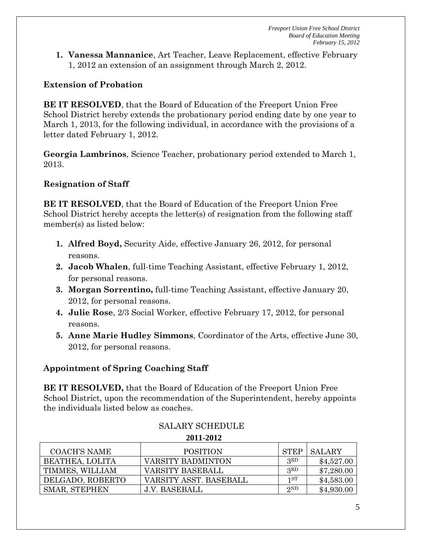**1. Vanessa Mannanice**, Art Teacher, Leave Replacement, effective February 1, 2012 an extension of an assignment through March 2, 2012.

# **Extension of Probation**

**BE IT RESOLVED**, that the Board of Education of the Freeport Union Free School District hereby extends the probationary period ending date by one year to March 1, 2013, for the following individual, in accordance with the provisions of a letter dated February 1, 2012.

**Georgia Lambrinos**, Science Teacher, probationary period extended to March 1, 2013.

# **Resignation of Staff**

**BE IT RESOLVED**, that the Board of Education of the Freeport Union Free School District hereby accepts the letter(s) of resignation from the following staff member(s) as listed below:

- **1. Alfred Boyd,** Security Aide, effective January 26, 2012, for personal reasons.
- **2. Jacob Whalen**, full-time Teaching Assistant, effective February 1, 2012, for personal reasons.
- **3. Morgan Sorrentino,** full-time Teaching Assistant, effective January 20, 2012, for personal reasons.
- **4. Julie Rose**, 2/3 Social Worker, effective February 17, 2012, for personal reasons.
- **5. Anne Marie Hudley Simmons**, Coordinator of the Arts, effective June 30, 2012, for personal reasons.

# **Appointment of Spring Coaching Staff**

**BE IT RESOLVED,** that the Board of Education of the Freeport Union Free School District, upon the recommendation of the Superintendent, hereby appoints the individuals listed below as coaches.

| 2011-2012           |                        |             |               |  |  |  |  |
|---------------------|------------------------|-------------|---------------|--|--|--|--|
| <b>COACH'S NAME</b> | <b>POSITION</b>        | <b>STEP</b> | <b>SALARY</b> |  |  |  |  |
| BEATHEA, LOLITA     | VARSITY BADMINTON      | 3RD         | \$4,527.00    |  |  |  |  |
| TIMMES, WILLIAM     | VARSITY BASEBALL       | 3RD         | \$7,280.00    |  |  |  |  |
| DELGADO, ROBERTO    | VARSITY ASST. BASEBALL | 1ST         | \$4,583.00    |  |  |  |  |
| SMAR, STEPHEN       | <b>J.V. BASEBALL</b>   | 2ND         | \$4,930.00    |  |  |  |  |

# SALARY SCHEDULE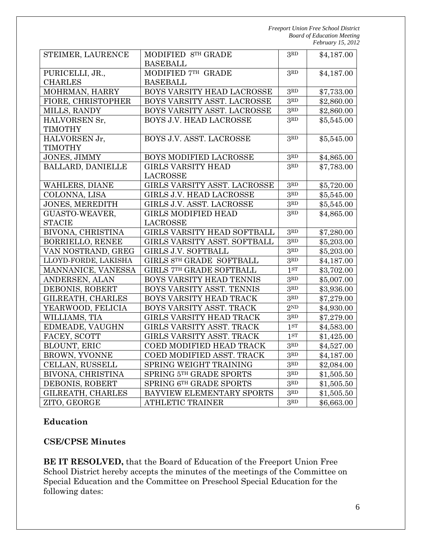| STEIMER, LAURENCE        | MODIFIED 8TH GRADE              |                                         | \$4,187.00 |
|--------------------------|---------------------------------|-----------------------------------------|------------|
|                          | <b>BASEBALL</b>                 |                                         |            |
| PURICELLI, JR.,          | MODIFIED 7TH GRADE              | 3RD                                     | \$4,187.00 |
| <b>CHARLES</b>           | <b>BASEBALL</b>                 |                                         |            |
| MOHRMAN, HARRY           | BOYS VARSITY HEAD LACROSSE      | $3RD$<br>$3^{\scriptstyle \mathrm{RD}}$ | \$7,733.00 |
| FIORE, CHRISTOPHER       | BOYS VARSITY ASST. LACROSSE     |                                         | \$2,860.00 |
| MILLS, RANDY             | BOYS VARSITY ASST. LACROSSE     | $3^{\scriptstyle \mathrm{RD}}$          | \$2,860.00 |
| HALVORSEN Sr,            | BOYS J.V. HEAD LACROSSE         | 3RD                                     | \$5,545.00 |
| <b>TIMOTHY</b>           |                                 |                                         |            |
| HALVORSEN Jr,            | BOYS J.V. ASST. LACROSSE        | 3 <sup>RD</sup>                         | \$5,545.00 |
| <b>TIMOTHY</b>           |                                 |                                         |            |
| JONES, JIMMY             | BOYS MODIFIED LACROSSE          | 3RD                                     | \$4,865.00 |
| <b>BALLARD, DANIELLE</b> | <b>GIRLS VARSITY HEAD</b>       | 3RD                                     | \$7,783.00 |
|                          | <b>LACROSSE</b>                 |                                         |            |
| WAHLERS, DIANE           | GIRLS VARSITY ASST. LACROSSE    | 3 <sup>RD</sup>                         | \$5,720.00 |
| COLONNA, LISA            | <b>GIRLS J.V. HEAD LACROSSE</b> | 3 <sub>RD</sub>                         | \$5,545.00 |
| <b>JONES, MEREDITH</b>   | GIRLS J.V. ASST. LACROSSE       | 3 <sup>RD</sup>                         | \$5,545.00 |
| GUASTO-WEAVER,           | <b>GIRLS MODIFIED HEAD</b>      | 3RD                                     | \$4,865.00 |
| <b>STACIE</b>            | <b>LACROSSE</b>                 |                                         |            |
| BIVONA, CHRISTINA        | GIRLS VARSITY HEAD SOFTBALL     | 3RD                                     | \$7,280.00 |
| <b>BORRIELLO, RENEE</b>  | GIRLS VARSITY ASST. SOFTBALL    | 3RD                                     | \$5,203.00 |
| VAN NOSTRAND, GREG       | GIRLS J.V. SOFTBALL             | 3RD                                     | \$5,203.00 |
| LLOYD-FORDE, LAKISHA     | GIRLS 8TH GRADE SOFTBALL        | 3 <sup>RD</sup>                         | \$4,187.00 |
| MANNANICE, VANESSA       | GIRLS 7TH GRADE SOFTBALL        | 1 <sub>ST</sub>                         | \$3,702.00 |
| ANDERSEN, ALAN           | BOYS VARSITY HEAD TENNIS        | 3 <sup>RD</sup>                         | \$5,007.00 |
| DEBONIS, ROBERT          | BOYS VARSITY ASST. TENNIS       | 3 <sup>RD</sup>                         | \$3,936.00 |
| GILREATH, CHARLES        | BOYS VARSITY HEAD TRACK         | 3 <sup>RD</sup>                         | \$7,279.00 |
| YEARWOOD, FELICIA        | BOYS VARSITY ASST. TRACK        | 2 <sup>ND</sup>                         | \$4,930.00 |
| WILLIAMS, TIA            | GIRLS VARSITY HEAD TRACK        | 3 <sup>RD</sup>                         | \$7,279.00 |
| EDMEADE, VAUGHN          | GIRLS VARSITY ASST. TRACK       | 1 <sup>ST</sup>                         | \$4,583.00 |
| FACEY, SCOTT             | GIRLS VARSITY ASST. TRACK       | $1^{ST}$                                | \$1,425.00 |
| BLOUNT, ERIC             | COED MODIFIED HEAD TRACK        | 3 <sup>RD</sup>                         | \$4,527.00 |
| <b>BROWN, YVONNE</b>     | COED MODIFIED ASST. TRACK       | $3^{\scriptstyle \mathrm{RD}}$          | \$4,187.00 |
| CELLAN, RUSSELL          | SPRING WEIGHT TRAINING          | $3^{\scriptstyle \mathrm{RD}}$          | \$2,084.00 |
| BIVONA, CHRISTINA        | SPRING 5TH GRADE SPORTS         | $3^{\scriptstyle \mathrm{RD}}$          | \$1,505.50 |
| DEBONIS, ROBERT          | SPRING 6TH GRADE SPORTS         | $3RD$                                   | \$1,505.50 |
| GILREATH, CHARLES        | BAYVIEW ELEMENTARY SPORTS       | 3 <sup>RD</sup>                         | \$1,505.50 |
| ZITO, GEORGE             | <b>ATHLETIC TRAINER</b>         | 3 <sup>RD</sup>                         | \$6,663.00 |

#### **Education**

# **CSE/CPSE Minutes**

**BE IT RESOLVED,** that the Board of Education of the Freeport Union Free School District hereby accepts the minutes of the meetings of the Committee on Special Education and the Committee on Preschool Special Education for the following dates: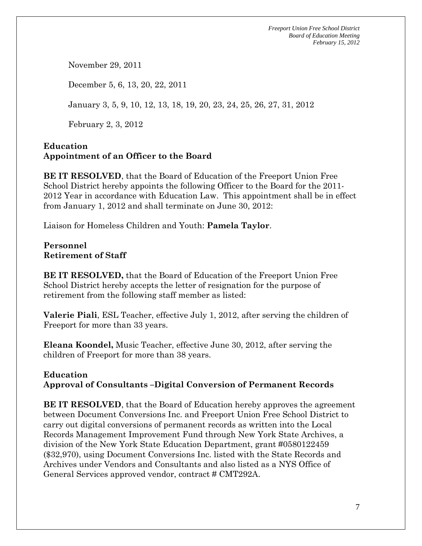November 29, 2011

December 5, 6, 13, 20, 22, 2011

January 3, 5, 9, 10, 12, 13, 18, 19, 20, 23, 24, 25, 26, 27, 31, 2012

February 2, 3, 2012

# **Education Appointment of an Officer to the Board**

**BE IT RESOLVED**, that the Board of Education of the Freeport Union Free School District hereby appoints the following Officer to the Board for the 2011- 2012 Year in accordance with Education Law. This appointment shall be in effect from January 1, 2012 and shall terminate on June 30, 2012:

Liaison for Homeless Children and Youth: **Pamela Taylor**.

# **Personnel Retirement of Staff**

**BE IT RESOLVED,** that the Board of Education of the Freeport Union Free School District hereby accepts the letter of resignation for the purpose of retirement from the following staff member as listed:

**Valerie Piali**, ESL Teacher, effective July 1, 2012, after serving the children of Freeport for more than 33 years.

**Eleana Koondel,** Music Teacher, effective June 30, 2012, after serving the children of Freeport for more than 38 years.

# **Education**

# **Approval of Consultants –Digital Conversion of Permanent Records**

**BE IT RESOLVED**, that the Board of Education hereby approves the agreement between Document Conversions Inc. and Freeport Union Free School District to carry out digital conversions of permanent records as written into the Local Records Management Improvement Fund through New York State Archives, a division of the New York State Education Department, grant #0580122459 (\$32,970), using Document Conversions Inc. listed with the State Records and Archives under Vendors and Consultants and also listed as a NYS Office of General Services approved vendor, contract # CMT292A.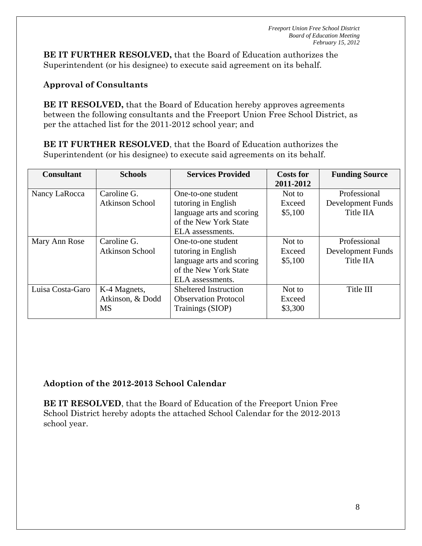**BE IT FURTHER RESOLVED,** that the Board of Education authorizes the Superintendent (or his designee) to execute said agreement on its behalf.

# **Approval of Consultants**

**BE IT RESOLVED,** that the Board of Education hereby approves agreements between the following consultants and the Freeport Union Free School District, as per the attached list for the 2011-2012 school year; and

**BE IT FURTHER RESOLVED**, that the Board of Education authorizes the Superintendent (or his designee) to execute said agreements on its behalf.

| <b>Consultant</b> | <b>Schools</b>         | <b>Services Provided</b>     | <b>Costs for</b> | <b>Funding Source</b>    |
|-------------------|------------------------|------------------------------|------------------|--------------------------|
|                   |                        |                              | 2011-2012        |                          |
| Nancy LaRocca     | Caroline G.            | One-to-one student           | Not to           | Professional             |
|                   | <b>Atkinson School</b> | tutoring in English          | Exceed           | <b>Development Funds</b> |
|                   |                        | language arts and scoring    | \$5,100          | Title IIA                |
|                   |                        | of the New York State        |                  |                          |
|                   |                        | ELA assessments.             |                  |                          |
| Mary Ann Rose     | Caroline G.            | One-to-one student           | Not to           | Professional             |
|                   | <b>Atkinson School</b> | tutoring in English          | Exceed           | Development Funds        |
|                   |                        | language arts and scoring    | \$5,100          | Title IIA                |
|                   |                        | of the New York State        |                  |                          |
|                   |                        | ELA assessments.             |                  |                          |
| Luisa Costa-Garo  | K-4 Magnets,           | <b>Sheltered Instruction</b> | Not to           | Title III                |
|                   | Atkinson, & Dodd       | <b>Observation Protocol</b>  | Exceed           |                          |
|                   | <b>MS</b>              | Trainings (SIOP)             | \$3,300          |                          |

# **Adoption of the 2012-2013 School Calendar**

**BE IT RESOLVED**, that the Board of Education of the Freeport Union Free School District hereby adopts the attached School Calendar for the 2012-2013 school year.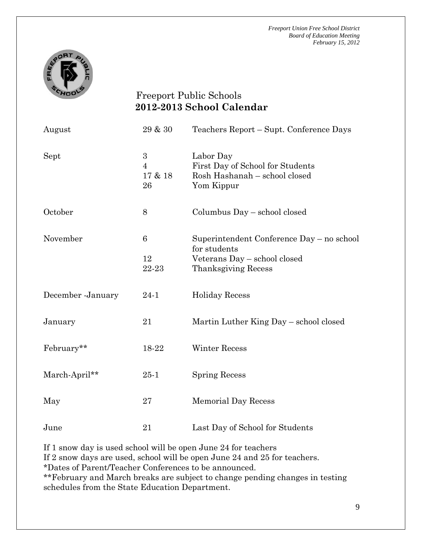

# Freeport Public Schools **2012-2013 School Calendar**

| August            | $29\ \&\ 30$                         | Teachers Report – Supt. Conference Days                                                                          |
|-------------------|--------------------------------------|------------------------------------------------------------------------------------------------------------------|
| Sept              | 3<br>$\overline{4}$<br>17 & 18<br>26 | Labor Day<br>First Day of School for Students<br>Rosh Hashanah – school closed<br>Yom Kippur                     |
| October           | 8                                    | Columbus Day - school closed                                                                                     |
| November          | $\,6$<br>12<br>22-23                 | Superintendent Conference Day - no school<br>for students<br>Veterans Day - school closed<br>Thanksgiving Recess |
| December -January | $24 - 1$                             | <b>Holiday Recess</b>                                                                                            |
| January           | 21                                   | Martin Luther King Day - school closed                                                                           |
| February**        | 18-22                                | <b>Winter Recess</b>                                                                                             |
| March-April**     | $25 - 1$                             | <b>Spring Recess</b>                                                                                             |
| May               | 27                                   | <b>Memorial Day Recess</b>                                                                                       |
| June              | 21                                   | Last Day of School for Students                                                                                  |

If 1 snow day is used school will be open June 24 for teachers

If 2 snow days are used, school will be open June 24 and 25 for teachers.

\*Dates of Parent/Teacher Conferences to be announced.

\*\*February and March breaks are subject to change pending changes in testing schedules from the State Education Department.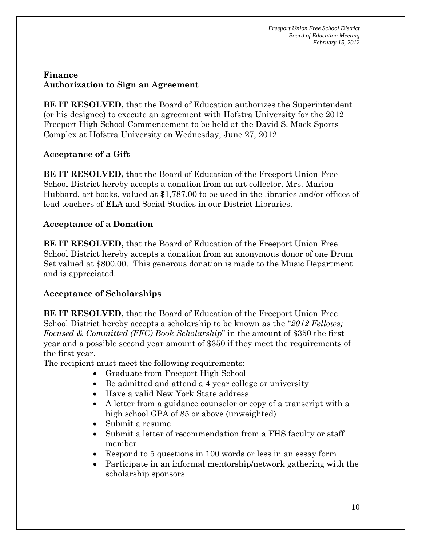# **Finance Authorization to Sign an Agreement**

**BE IT RESOLVED,** that the Board of Education authorizes the Superintendent (or his designee) to execute an agreement with Hofstra University for the 2012 Freeport High School Commencement to be held at the David S. Mack Sports Complex at Hofstra University on Wednesday, June 27, 2012.

# **Acceptance of a Gift**

**BE IT RESOLVED,** that the Board of Education of the Freeport Union Free School District hereby accepts a donation from an art collector, Mrs. Marion Hubbard, art books, valued at \$1,787.00 to be used in the libraries and/or offices of lead teachers of ELA and Social Studies in our District Libraries.

# **Acceptance of a Donation**

**BE IT RESOLVED,** that the Board of Education of the Freeport Union Free School District hereby accepts a donation from an anonymous donor of one Drum Set valued at \$800.00. This generous donation is made to the Music Department and is appreciated.

# **Acceptance of Scholarships**

**BE IT RESOLVED,** that the Board of Education of the Freeport Union Free School District hereby accepts a scholarship to be known as the "*2012 Fellows; Focused & Committed (FFC) Book Scholarship*" in the amount of \$350 the first year and a possible second year amount of \$350 if they meet the requirements of the first year.

The recipient must meet the following requirements:

- Graduate from Freeport High School
- Be admitted and attend a 4 year college or university
- Have a valid New York State address
- A letter from a guidance counselor or copy of a transcript with a high school GPA of 85 or above (unweighted)
- Submit a resume
- Submit a letter of recommendation from a FHS faculty or staff member
- Respond to 5 questions in 100 words or less in an essay form
- Participate in an informal mentorship/network gathering with the scholarship sponsors.